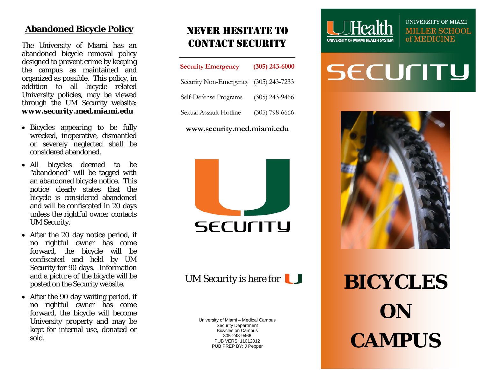#### **Abandoned Bicycle Policy**

The University of Miami has an abandoned bicycle removal policy designed to prevent crime by keeping the campus as maintained and organized as possible. This policy, in addition to all bicycle related University policies , may be viewed through the UM Security website: *www.security.med.miami.edu*

- Bicycles appearing to be fully wrecked, inoperative, dismantled or severely neglected shall be considered abandoned.
- All bicycles deemed to be "abandoned" will be tagged with an abandoned bicycle notice. This notice clearly states that the bicycle is considered abandoned and will be confiscated in 20 days unless the rightful owner contacts UM Security.
- After the 20 day notice period, if no rightful owner has come forward, the bicycle will be confiscated and held by UM Security for 90 days. Information and a picture of the bicycle will be posted on the Security website.
- After the 90 day waiting period, if no rightful owner has come forward, the bicycle will become University property and may be kept for internal use, donated or sold .

## Never hesitate to contact security

| <b>Security Emergency</b>             | $(305)$ 243-6000 |
|---------------------------------------|------------------|
| Security Non-Emergency (305) 243-7233 |                  |
| Self-Defense Programs                 | $(305)$ 243-9466 |
| Sexual Assault Hotline                | $(305)$ 798-6666 |

**www.security.med.miami.edu**



UM Security is here for

University of Miami – Medical Campus Security Department Bicycles on Campus 305 -243 -9466 PUB VERS: 1101201 2 PUB PREP BY: J Pepper



UNIVERSITY OF MIAMI **MILLER SCHOOL** of MEDICINE

# **SECULITA**



**BICYCLES ON CAMPUS**